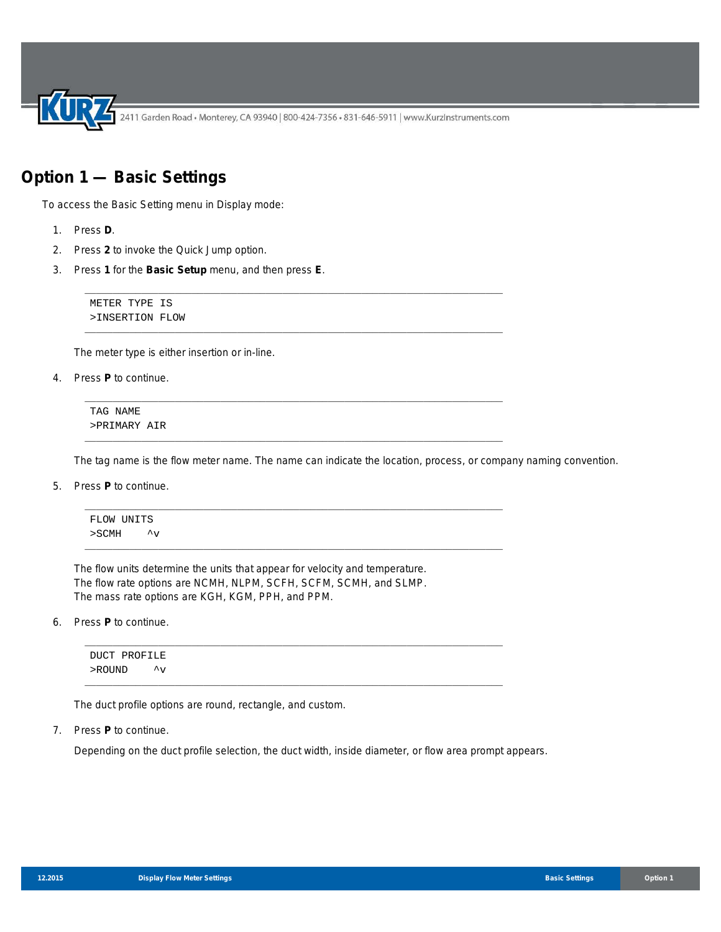2411 Garden Road • Monterey, CA 93940 | 800-424-7356 • 831-646-5911 | www.KurzInstruments.com

# **Option 1 — Basic Settings**

To access the Basic Setting menu in Display mode:

- 1. Press **D**.
- 2. Press **2** to invoke the Quick Jump option.
- 3. Press **1** for the **Basic Setup** menu, and then press **E**.

METER TYPE IS >INSERTION FLOW

The meter type is either insertion or in-line.

4. Press **P** to continue.

TAG NAME >PRIMARY AIR

The tag name is the flow meter name. The name can indicate the location, process, or company naming convention.

5. Press **P** to continue.



\_\_\_\_\_\_\_\_\_\_\_\_\_\_\_\_\_\_\_\_\_\_\_\_\_\_\_\_\_\_\_\_\_\_\_\_\_\_\_\_\_\_\_\_\_\_\_\_\_\_\_\_\_\_\_\_\_\_\_\_\_\_\_\_\_\_\_\_\_\_\_\_\_\_

\_\_\_\_\_\_\_\_\_\_\_\_\_\_\_\_\_\_\_\_\_\_\_\_\_\_\_\_\_\_\_\_\_\_\_\_\_\_\_\_\_\_\_\_\_\_\_\_\_\_\_\_\_\_\_\_\_\_\_\_\_\_\_\_\_\_\_\_\_\_\_\_\_\_

\_\_\_\_\_\_\_\_\_\_\_\_\_\_\_\_\_\_\_\_\_\_\_\_\_\_\_\_\_\_\_\_\_\_\_\_\_\_\_\_\_\_\_\_\_\_\_\_\_\_\_\_\_\_\_\_\_\_\_\_\_\_\_\_\_\_\_\_\_\_\_\_\_\_

\_\_\_\_\_\_\_\_\_\_\_\_\_\_\_\_\_\_\_\_\_\_\_\_\_\_\_\_\_\_\_\_\_\_\_\_\_\_\_\_\_\_\_\_\_\_\_\_\_\_\_\_\_\_\_\_\_\_\_\_\_\_\_\_\_\_\_\_\_\_\_\_\_\_

The flow units determine the units that appear for velocity and temperature. The flow rate options are NCMH, NLPM, SCFH, SCFM, SCMH, and SLMP. The mass rate options are KGH, KGM, PPH, and PPM.

6. Press **P** to continue.

\_\_\_\_\_\_\_\_\_\_\_\_\_\_\_\_\_\_\_\_\_\_\_\_\_\_\_\_\_\_\_\_\_\_\_\_\_\_\_\_\_\_\_\_\_\_\_\_\_\_\_\_\_\_\_\_\_\_\_\_\_\_\_\_\_\_\_\_\_\_\_\_\_\_ DUCT PROFILE >ROUND ^v \_\_\_\_\_\_\_\_\_\_\_\_\_\_\_\_\_\_\_\_\_\_\_\_\_\_\_\_\_\_\_\_\_\_\_\_\_\_\_\_\_\_\_\_\_\_\_\_\_\_\_\_\_\_\_\_\_\_\_\_\_\_\_\_\_\_\_\_\_\_\_\_\_\_

The duct profile options are round, rectangle, and custom.

7. Press **P** to continue.

Depending on the duct profile selection, the duct width, inside diameter, or flow area prompt appears.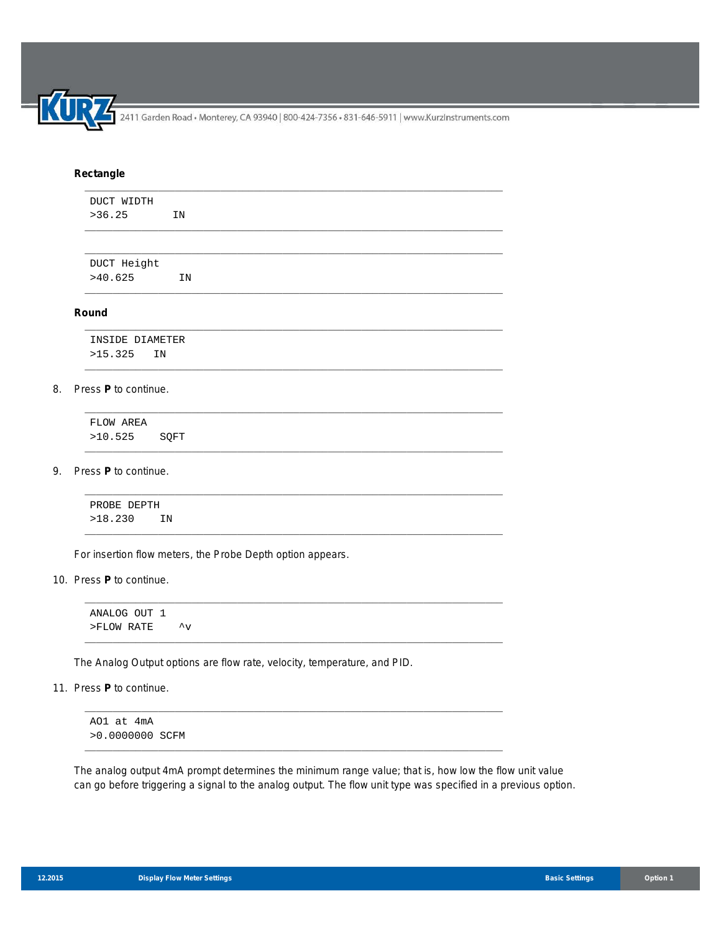2411 Garden Road • Monterey, CA 93940 | 800-424-7356 • 831-646-5911 | www.KurzInstruments.com

## **Rectangle**

| DUCT WIDTH<br>>36.25 | IN |  |  |
|----------------------|----|--|--|
|                      |    |  |  |
| DUCT Height          |    |  |  |
| >40.625              | IN |  |  |

\_\_\_\_\_\_\_\_\_\_\_\_\_\_\_\_\_\_\_\_\_\_\_\_\_\_\_\_\_\_\_\_\_\_\_\_\_\_\_\_\_\_\_\_\_\_\_\_\_\_\_\_\_\_\_\_\_\_\_\_\_\_\_\_\_\_\_\_\_\_\_\_\_\_

\_\_\_\_\_\_\_\_\_\_\_\_\_\_\_\_\_\_\_\_\_\_\_\_\_\_\_\_\_\_\_\_\_\_\_\_\_\_\_\_\_\_\_\_\_\_\_\_\_\_\_\_\_\_\_\_\_\_\_\_\_\_\_\_\_\_\_\_\_\_\_\_\_\_

\_\_\_\_\_\_\_\_\_\_\_\_\_\_\_\_\_\_\_\_\_\_\_\_\_\_\_\_\_\_\_\_\_\_\_\_\_\_\_\_\_\_\_\_\_\_\_\_\_\_\_\_\_\_\_\_\_\_\_\_\_\_\_\_\_\_\_\_\_\_\_\_\_\_

\_\_\_\_\_\_\_\_\_\_\_\_\_\_\_\_\_\_\_\_\_\_\_\_\_\_\_\_\_\_\_\_\_\_\_\_\_\_\_\_\_\_\_\_\_\_\_\_\_\_\_\_\_\_\_\_\_\_\_\_\_\_\_\_\_\_\_\_\_\_\_\_\_\_

\_\_\_\_\_\_\_\_\_\_\_\_\_\_\_\_\_\_\_\_\_\_\_\_\_\_\_\_\_\_\_\_\_\_\_\_\_\_\_\_\_\_\_\_\_\_\_\_\_\_\_\_\_\_\_\_\_\_\_\_\_\_\_\_\_\_\_\_\_\_\_\_\_\_

\_\_\_\_\_\_\_\_\_\_\_\_\_\_\_\_\_\_\_\_\_\_\_\_\_\_\_\_\_\_\_\_\_\_\_\_\_\_\_\_\_\_\_\_\_\_\_\_\_\_\_\_\_\_\_\_\_\_\_\_\_\_\_\_\_\_\_\_\_\_\_\_\_\_

\_\_\_\_\_\_\_\_\_\_\_\_\_\_\_\_\_\_\_\_\_\_\_\_\_\_\_\_\_\_\_\_\_\_\_\_\_\_\_\_\_\_\_\_\_\_\_\_\_\_\_\_\_\_\_\_\_\_\_\_\_\_\_\_\_\_\_\_\_\_\_\_\_\_

\_\_\_\_\_\_\_\_\_\_\_\_\_\_\_\_\_\_\_\_\_\_\_\_\_\_\_\_\_\_\_\_\_\_\_\_\_\_\_\_\_\_\_\_\_\_\_\_\_\_\_\_\_\_\_\_\_\_\_\_\_\_\_\_\_\_\_\_\_\_\_\_\_\_

\_\_\_\_\_\_\_\_\_\_\_\_\_\_\_\_\_\_\_\_\_\_\_\_\_\_\_\_\_\_\_\_\_\_\_\_\_\_\_\_\_\_\_\_\_\_\_\_\_\_\_\_\_\_\_\_\_\_\_\_\_\_\_\_\_\_\_\_\_\_\_\_\_\_

\_\_\_\_\_\_\_\_\_\_\_\_\_\_\_\_\_\_\_\_\_\_\_\_\_\_\_\_\_\_\_\_\_\_\_\_\_\_\_\_\_\_\_\_\_\_\_\_\_\_\_\_\_\_\_\_\_\_\_\_\_\_\_\_\_\_\_\_\_\_\_\_\_\_

#### **Round**

INSIDE DIAMETER >15.325 IN

## 8. Press **P** to continue.

FLOW AREA >10.525 SQFT

#### 9. Press **P** to continue.

PROBE DEPTH >18.230 IN

For insertion flow meters, the Probe Depth option appears.

10. Press **P** to continue.

ANALOG OUT 1 >FLOW RATE ^v

The Analog Output options are flow rate, velocity, temperature, and PID.

## 11. Press **P** to continue.

AO1 at 4mA >0.0000000 SCFM

The analog output 4mA prompt determines the minimum range value; that is, how low the flow unit value can go before triggering a signal to the analog output. The flow unit type was specified in a previous option.